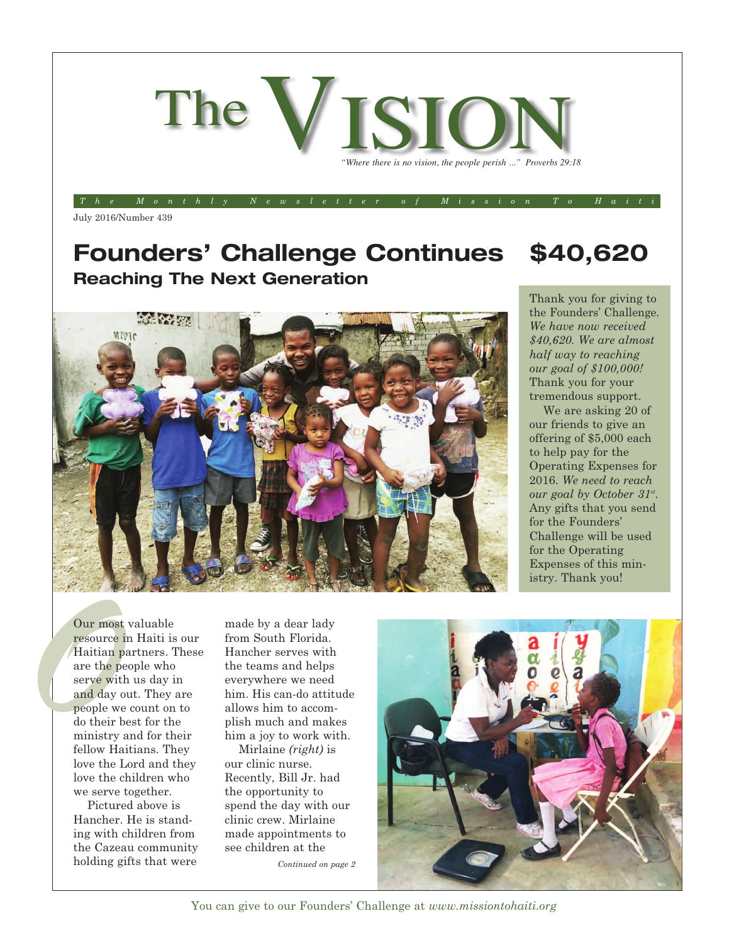

The Monthly Newsletter of Mission To Haiti

July 2016/Number 439

## **Founders' Challenge Continues \$40,620 Reaching The Next Generation**



Thank you for giving to the Founders' Challenge. *We have now received \$40,620. We are almost half way to reaching our goal of \$100,000!* Thank you for your tremendous support.

We are asking 20 of our friends to give an offering of \$5,000 each to help pay for the Operating Expenses for 2016. *We need to reach our goal by October 31st .* Any gifts that you send for the Founders' Challenge will be used for the Operating Expenses of this ministry. Thank you!

Our most<br>resource i<br>Haitian p<br>are the persuade day<br>of the persuade we<br>people we Our most valuable resource in Haiti is our Haitian partners. These are the people who serve with us day in and day out. They are people we count on to do their best for the ministry and for their fellow Haitians. They love the Lord and they love the children who we serve together.

> Pictured above is Hancher. He is standing with children from the Cazeau community holding gifts that were

made by a dear lady from South Florida. Hancher serves with the teams and helps everywhere we need him. His can-do attitude allows him to accomplish much and makes him a joy to work with.

Mirlaine *(right)* is our clinic nurse. Recently, Bill Jr. had the opportunity to spend the day with our clinic crew. Mirlaine made appointments to see children at the

*Continued on page 2*